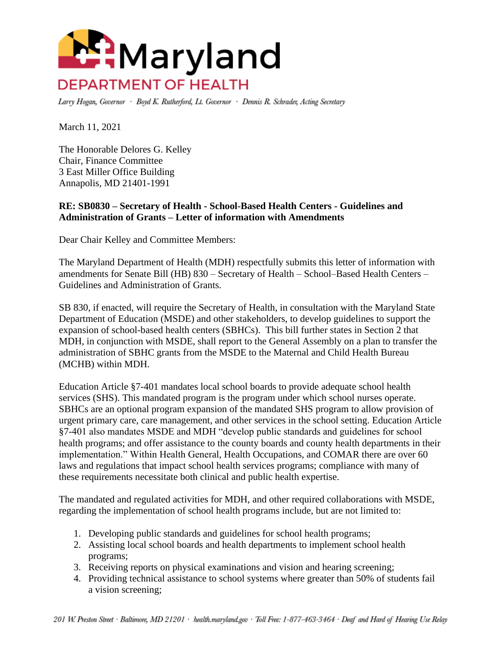

Larry Hogan, Governor · Boyd K. Rutherford, Lt. Governor · Dennis R. Schrader, Acting Secretary

March 11, 2021

The Honorable Delores G. Kelley Chair, Finance Committee 3 East Miller Office Building Annapolis, MD 21401-1991

## **RE: SB0830 – Secretary of Health - School-Based Health Centers - Guidelines and Administration of Grants – Letter of information with Amendments**

Dear Chair Kelley and Committee Members:

The Maryland Department of Health (MDH) respectfully submits this letter of information with amendments for Senate Bill (HB) 830 – Secretary of Health – School–Based Health Centers – Guidelines and Administration of Grants.

SB 830, if enacted, will require the Secretary of Health, in consultation with the Maryland State Department of Education (MSDE) and other stakeholders, to develop guidelines to support the expansion of school-based health centers (SBHCs). This bill further states in Section 2 that MDH, in conjunction with MSDE, shall report to the General Assembly on a plan to transfer the administration of SBHC grants from the MSDE to the Maternal and Child Health Bureau (MCHB) within MDH.

Education Article §7-401 mandates local school boards to provide adequate school health services (SHS). This mandated program is the program under which school nurses operate. SBHCs are an optional program expansion of the mandated SHS program to allow provision of urgent primary care, care management, and other services in the school setting. Education Article §7-401 also mandates MSDE and MDH "develop public standards and guidelines for school health programs; and offer assistance to the county boards and county health departments in their implementation." Within Health General, Health Occupations, and COMAR there are over 60 laws and regulations that impact school health services programs; compliance with many of these requirements necessitate both clinical and public health expertise.

The mandated and regulated activities for MDH, and other required collaborations with MSDE, regarding the implementation of school health programs include, but are not limited to:

- 1. Developing public standards and guidelines for school health programs;
- 2. Assisting local school boards and health departments to implement school health programs;
- 3. Receiving reports on physical examinations and vision and hearing screening;
- 4. Providing technical assistance to school systems where greater than 50% of students fail a vision screening;